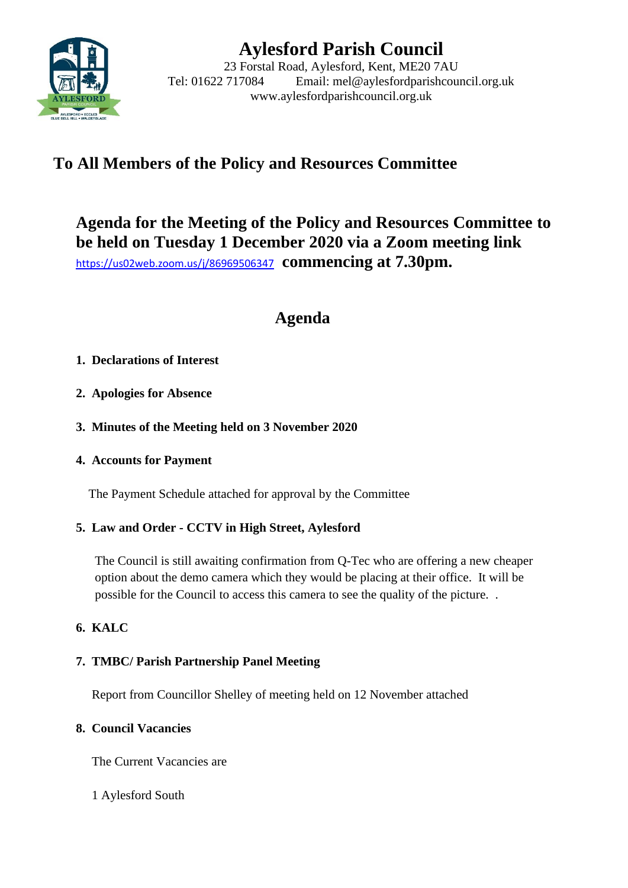

# **Aylesford Parish Council**

23 Forstal Road, Aylesford, Kent, ME20 7AU Tel: 01622 717084 Email: mel@aylesfordparishcouncil.org.uk www.aylesfordparishcouncil.org.uk

## **To All Members of the Policy and Resources Committee**

## **Agenda for the Meeting of the Policy and Resources Committee to be held on Tuesday 1 December 2020 via a Zoom meeting link** <https://us02web.zoom.us/j/86969506347>**commencing at 7.30pm.**

**Agenda**

## **1. Declarations of Interest**

- **2. Apologies for Absence**
- **3. Minutes of the Meeting held on 3 November 2020**
- **4. Accounts for Payment**

The Payment Schedule attached for approval by the Committee

## **5. Law and Order - CCTV in High Street, Aylesford**

The Council is still awaiting confirmation from Q-Tec who are offering a new cheaper option about the demo camera which they would be placing at their office. It will be possible for the Council to access this camera to see the quality of the picture. .

## **6. KALC**

## **7. TMBC/ Parish Partnership Panel Meeting**

Report from Councillor Shelley of meeting held on 12 November attached

## **8. Council Vacancies**

The Current Vacancies are

1 Aylesford South